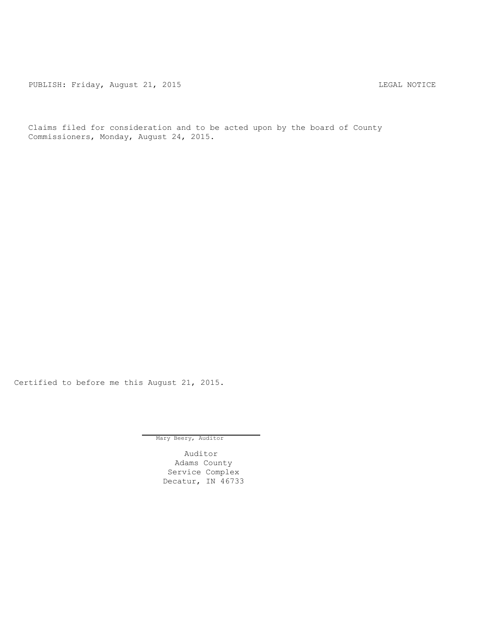PUBLISH: Friday, August 21, 2015 CHARL STATES AND THE MOTICE

Claims filed for consideration and to be acted upon by the board of County Commissioners, Monday, August 24, 2015.

Certified to before me this August 21, 2015.

Mary Beery, Auditor

Auditor Adams County Service Complex Decatur, IN 46733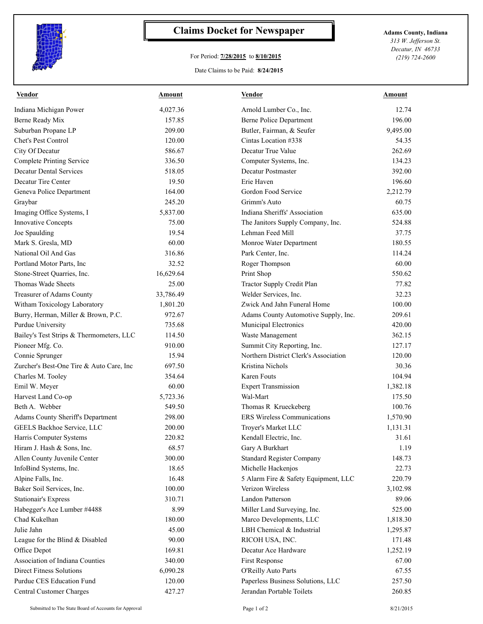

## **Claims Docket for Newspaper Adams County, Indiana**

## For Period: **7/28/2015** to **8/10/2015**

*313 W. Jefferson St. Decatur, IN 46733 (219) 724-2600*

## Date Claims to be Paid: **8/24/2015**

| Vendor                                   | Amount    | <b>Vendor</b>                         | Amount   |
|------------------------------------------|-----------|---------------------------------------|----------|
| Indiana Michigan Power                   | 4,027.36  | Arnold Lumber Co., Inc.               | 12.74    |
| Berne Ready Mix                          | 157.85    | Berne Police Department               | 196.00   |
| Suburban Propane LP                      | 209.00    | Butler, Fairman, & Seufer             | 9,495.00 |
| <b>Chet's Pest Control</b>               | 120.00    | Cintas Location #338                  | 54.35    |
| City Of Decatur                          | 586.67    | Decatur True Value                    | 262.69   |
| <b>Complete Printing Service</b>         | 336.50    | Computer Systems, Inc.                | 134.23   |
| <b>Decatur Dental Services</b>           | 518.05    | Decatur Postmaster                    | 392.00   |
| Decatur Tire Center                      | 19.50     | Erie Haven                            | 196.60   |
| Geneva Police Department                 | 164.00    | Gordon Food Service                   | 2,212.79 |
| Graybar                                  | 245.20    | Grimm's Auto                          | 60.75    |
| Imaging Office Systems, I                | 5,837.00  | Indiana Sheriffs' Association         | 635.00   |
| <b>Innovative Concepts</b>               | 75.00     | The Janitors Supply Company, Inc.     | 524.88   |
| Joe Spaulding                            | 19.54     | Lehman Feed Mill                      | 37.75    |
| Mark S. Gresla, MD                       | 60.00     | Monroe Water Department               | 180.55   |
| National Oil And Gas                     | 316.86    | Park Center, Inc.                     | 114.24   |
| Portland Motor Parts, Inc.               | 32.52     | Roger Thompson                        | 60.00    |
| Stone-Street Quarries, Inc.              | 16,629.64 | Print Shop                            | 550.62   |
| Thomas Wade Sheets                       | 25.00     | Tractor Supply Credit Plan            | 77.82    |
| Treasurer of Adams County                | 33,786.49 | Welder Services, Inc.                 | 32.23    |
| Witham Toxicology Laboratory             | 1,801.20  | Zwick And Jahn Funeral Home           | 100.00   |
| Burry, Herman, Miller & Brown, P.C.      | 972.67    | Adams County Automotive Supply, Inc.  | 209.61   |
| Purdue University                        | 735.68    | Municipal Electronics                 | 420.00   |
| Bailey's Test Strips & Thermometers, LLC | 114.50    | Waste Management                      | 362.15   |
| Pioneer Mfg. Co.                         | 910.00    | Summit City Reporting, Inc.           | 127.17   |
| Connie Sprunger                          | 15.94     | Northern District Clerk's Association | 120.00   |
| Zurcher's Best-One Tire & Auto Care, Inc | 697.50    | Kristina Nichols                      | 30.36    |
| Charles M. Tooley                        | 354.64    | Karen Fouts                           | 104.94   |
| Emil W. Meyer                            | 60.00     | <b>Expert Transmission</b>            | 1,382.18 |
| Harvest Land Co-op                       | 5,723.36  | Wal-Mart                              | 175.50   |
| Beth A. Webber                           | 549.50    | Thomas R Krueckeberg                  | 100.76   |
| Adams County Sheriff's Department        | 298.00    | <b>ERS</b> Wireless Communications    | 1,570.90 |
| GEELS Backhoe Service, LLC               | 200.00    | Troyer's Market LLC                   | 1,131.31 |
| Harris Computer Systems                  | 220.82    | Kendall Electric, Inc.                | 31.61    |
| Hiram J. Hash & Sons, Inc.               | 68.57     | Gary A Burkhart                       | 1.19     |
| Allen County Juvenile Center             | 300.00    | <b>Standard Register Company</b>      | 148.73   |
| InfoBind Systems, Inc.                   | 18.65     | Michelle Hackenjos                    | 22.73    |
| Alpine Falls, Inc.                       | 16.48     | 5 Alarm Fire & Safety Equipment, LLC  | 220.79   |
| Baker Soil Services, Inc.                | 100.00    | Verizon Wireless                      | 3,102.98 |
| <b>Stationair's Express</b>              | 310.71    | Landon Patterson                      | 89.06    |
| Habegger's Ace Lumber #4488              | 8.99      | Miller Land Surveying, Inc.           | 525.00   |
| Chad Kukelhan                            | 180.00    | Marco Developments, LLC               | 1,818.30 |
| Julie Jahn                               | 45.00     | LBH Chemical & Industrial             | 1,295.87 |
| League for the Blind $& Disabeled$       | 90.00     | RICOH USA, INC.                       | 171.48   |
| Office Depot                             | 169.81    | Decatur Ace Hardware                  | 1,252.19 |
| Association of Indiana Counties          | 340.00    | First Response                        | 67.00    |
| <b>Direct Fitness Solutions</b>          | 6,090.28  | O'Reilly Auto Parts                   | 67.55    |
| Purdue CES Education Fund                | 120.00    | Paperless Business Solutions, LLC     | 257.50   |
| <b>Central Customer Charges</b>          | 427.27    | Jerandan Portable Toilets             | 260.85   |